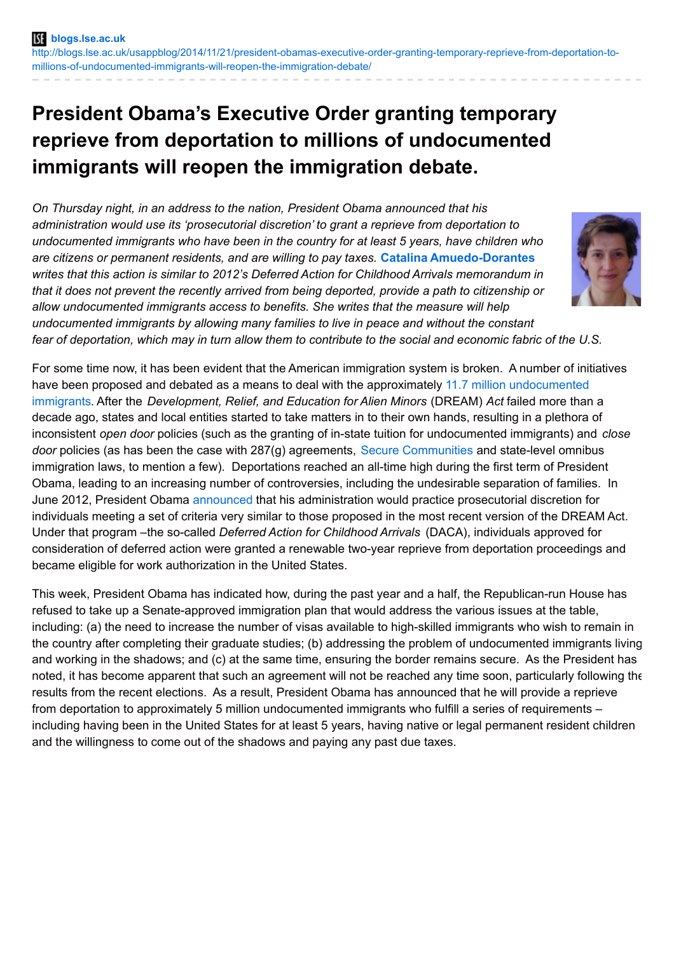## **President Obama's Executive Order granting temporary reprieve from deportation to millions of undocumented immigrants will reopen the immigration debate.**

*On Thursday night, in an address to the nation, President Obama announced that his administration would use its 'prosecutorial discretion' to grant a reprieve from deportation to undocumented immigrants who have been in the country for at least 5 years, have children who are citizens or permanent residents, and are willing to pay taxes.* **Catalina [Amuedo-Dorantes](http://wp.me/p3I2YF-2PP#Author)** *writes that this action is similar to 2012's Deferred Action for Childhood Arrivals memorandum in that it does not prevent the recently arrived from being deported, provide a path to citizenship or allow undocumented immigrants access to benefits. She writes that the measure will help undocumented immigrants by allowing many families to live in peace and without the constant* fear of deportation, which may in turn allow them to contribute to the social and economic fabric of the U.S.



For some time now, it has been evident that the American immigration system is broken. A number of initiatives have been proposed and debated as a means to deal with the approximately 11.7 million [undocumented](http://www.pewhispanic.org/2013/09/23/population-decline-of-unauthorized-immigrants-stalls-may-have-reversed/) immigrants. After the *Development, Relief, and Education for Alien Minors* (DREAM) *Act* failed more than a decade ago, states and local entities started to take matters in to their own hands, resulting in a plethora of inconsistent *open door* policies (such as the granting of in-state tuition for undocumented immigrants) and *close door* policies (as has been the case with 287(g) agreements, Secure [Communities](http://blogs.lse.ac.uk/usappblog/2014/11/12/previously-deported-unauthorized-immigrants-are-over-2-5-times-more-likely-to-be-arrested-again-than-those-who-have-not-been-deported/) and state-level omnibus immigration laws, to mention a few). Deportations reached an all-time high during the first term of President Obama, leading to an increasing number of controversies, including the undesirable separation of families. In June 2012, President Obama [announced](http://www.nytimes.com/2012/06/16/us/us-to-stop-deporting-some-illegal-immigrants.html?pagewanted=all) that his administration would practice prosecutorial discretion for individuals meeting a set of criteria very similar to those proposed in the most recent version of the DREAM Act. Under that program –the so-called *Deferred Action for Childhood Arrivals* (DACA), individuals approved for consideration of deferred action were granted a renewable two-year reprieve from deportation proceedings and became eligible for work authorization in the United States.

This week, President Obama has indicated how, during the past year and a half, the Republican-run House has refused to take up a Senate-approved immigration plan that would address the various issues at the table, including: (a) the need to increase the number of visas available to high-skilled immigrants who wish to remain in the country after completing their graduate studies; (b) addressing the problem of undocumented immigrants living and working in the shadows; and (c) at the same time, ensuring the border remains secure. As the President has noted, it has become apparent that such an agreement will not be reached any time soon, particularly following the results from the recent elections. As a result, President Obama has announced that he will provide a reprieve from deportation to approximately 5 million undocumented immigrants who fulfill a series of requirements – including having been in the United States for at least 5 years, having native or legal permanent resident children and the willingness to come out of the shadows and paying any past due taxes.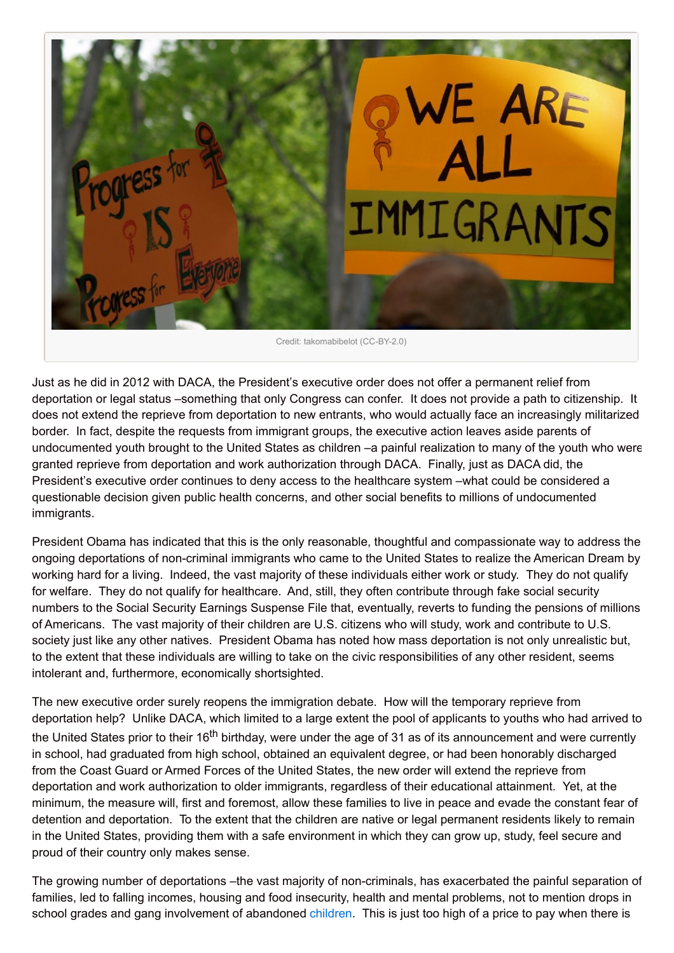

Just as he did in 2012 with DACA, the President's executive order does not offer a permanent relief from deportation or legal status –something that only Congress can confer. It does not provide a path to citizenship. It does not extend the reprieve from deportation to new entrants, who would actually face an increasingly militarized border. In fact, despite the requests from immigrant groups, the executive action leaves aside parents of undocumented youth brought to the United States as children –a painful realization to many of the youth who were granted reprieve from deportation and work authorization through DACA. Finally, just as DACA did, the President's executive order continues to deny access to the healthcare system –what could be considered a questionable decision given public health concerns, and other social benefits to millions of undocumented immigrants.

President Obama has indicated that this is the only reasonable, thoughtful and compassionate way to address the ongoing deportations of non-criminal immigrants who came to the United States to realize the American Dream by working hard for a living. Indeed, the vast majority of these individuals either work or study. They do not qualify for welfare. They do not qualify for healthcare. And, still, they often contribute through fake social security numbers to the Social Security Earnings Suspense File that, eventually, reverts to funding the pensions of millions of Americans. The vast majority of their children are U.S. citizens who will study, work and contribute to U.S. society just like any other natives. President Obama has noted how mass deportation is not only unrealistic but, to the extent that these individuals are willing to take on the civic responsibilities of any other resident, seems intolerant and, furthermore, economically shortsighted.

The new executive order surely reopens the immigration debate. How will the temporary reprieve from deportation help? Unlike DACA, which limited to a large extent the pool of applicants to youths who had arrived to the United States prior to their 16<sup>th</sup> birthday, were under the age of 31 as of its announcement and were currently in school, had graduated from high school, obtained an equivalent degree, or had been honorably discharged from the Coast Guard or Armed Forces of the United States, the new order will extend the reprieve from deportation and work authorization to older immigrants, regardless of their educational attainment. Yet, at the minimum, the measure will, first and foremost, allow these families to live in peace and evade the constant fear of detention and deportation. To the extent that the children are native or legal permanent residents likely to remain in the United States, providing them with a safe environment in which they can grow up, study, feel secure and proud of their country only makes sense.

The growing number of deportations –the vast majority of non-criminals, has exacerbated the painful separation of families, led to falling incomes, housing and food insecurity, health and mental problems, not to mention drops in school grades and gang involvement of abandoned [children](http://www.urban.org/publications/412020.html). This is just too high of a price to pay when there is